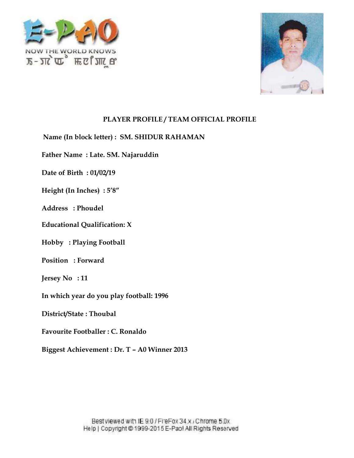



**Name (In block letter) : SM. SHIDUR RAHAMAN**

**Father Name : Late. SM. Najaruddin** In block letter) : **SM. SHIDU<br>Vame : Late. SM. Najaruddin<br>Birth : 01/02/19<br>(In Inches) : 5′8″** 

**Date of Birth : 01/02/19**

**Height (In Inches) : 5'8"**

**Address : Phoudel**

**Educational Qualification: X Qualification:**

**Hobby : Playing Football<br>Position : Forward** 

**Position : Forward**

**Jersey No : 11**

**In which year do you play football: 1996**

**District/State : Thoubal**

**Favourite Footballer : C. Ronaldo**

**Biggest Achievement : Dr. T – A0 Winner 2013 2013**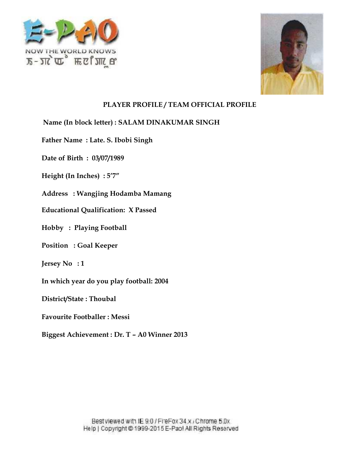



**Name (In block letter) : SALAM DINAKUMAR SINGH**

**Father Name : Late. S. Ibobi Singh**

**Date of Birth : 03/07/1989**

**Height (In Inches) : 5'7"**

**Address : Wangjing Hodamba Mamang** In block letter) : SALAM DINAKUMA<br>Vame : Late. S. Ibobi Singh<br>Birth : 03/07/1989<br>(In Inches) : 5′7″<br>s : Wangjing Hodamba Mamang<br>onal Qualification: X Passed

**Educational Qualification: X Passed**

**Hobby : Playing Football**

**Position : Goal Keeper :**

**Jersey No : 1**

**In which year do you play football: 2004**

**District/State : Thoubal**

**Favourite Footballer : Messi**

**Biggest Achievement : Dr. T – A0 Winner 2013 2013**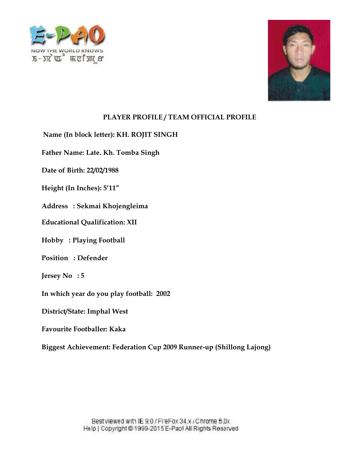



**Name (In block letter): KH. ROJIT SINGH**

**Father Name: Late. Kh. Tomba Singh** <sup>k</sup> letter): KH. ROJ<br>Late. Kh. Tomba S<br>22/02/1988

**Date of Birth: 22/02/1988**

**Height (In Inches): 5'11" (In Inches):5'11"**

Address : Sekmai Khojengleima<br>Educational Qualification: XII **Educational Qualification: XII**

**Hobby : Playing Football**

**Position : Defender**

**Jersey No : 5**

**In which year do you play football: 2002 Playing Football<br>: Defender<br>: 5<br>year do you play f<br>tate: Imphal West** 

**District/State: Imphal West**

**Favourite Footballer: Kaka**

**Biggest Achievement: Federation Cup 2009 Runner-up (Shillong Lajong) Lajong)**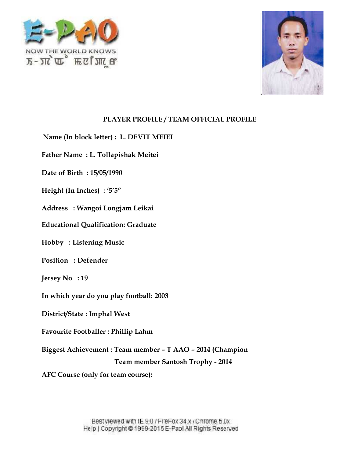



**Name (In block letter) : L. DEVIT MEIEI**

**Father Name : L. Tollapishak Meitei** In block letter) : L. DE<br>Vame : L. Tollapishak<br>Birth : 15/05/1990<br>(In Inches) : '5'5"<br>s : Wangoi Longjam L<br>onal Qualification: Gra

**Date of Birth : 15/05/1990**

**Height (In Inches) : '5'5"**

**Address : Wangoi Longjam Leikai**

**Educational Qualification: Graduate**

**Hobby : Listening Music**

**Position : Defender**

**Jersey No : 19**

**In which year do you play football: 2003**

**District/State : Imphal West**

**Favourite Footballer : Phillip Lahm**

**Biggest Achievement : Team member – T AAO – 2014 (Champion** Listening Music<br>: Defender<br>: 19<br>year do you play football: 2003<br>tate : Imphal West<br>Footballer : Phillip Lahm<br>chievement : Team member – T AAO – 2014 (Champion ) : L. DEVIT MEIEI<br>apishak Meitei<br>990<br><sup>775″</sup><br>mgjam Leikai<br>tion: Graduate<br>usic<br>play football: 2003<br>I West<br>Phillip Lahm<br>Team member – T AAO – 2014 (Champi<br>Team member – T AAO – 2014 (Champi<br>Team member – T AAO – 2014 (Champi

**Team member Santosh Trophy - 2014**

**AFC Course (only for team course):**

Best viewed with IE 9.0 / FireFox 34.x / Chrome 5.0x Help | Copyright @ 1999-2015 E-Pao! All Rights Reserved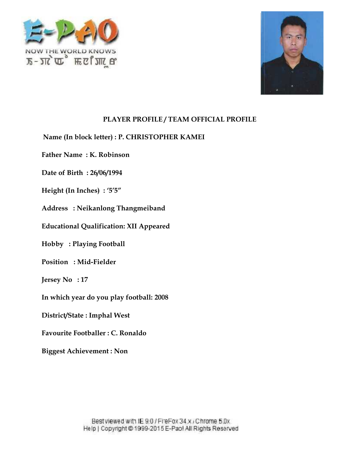



**Name (In block letter) : P. CHRISTOPHER KAMEI** In block letter) : P. CHRISTOPHER KAMEI<br>Vame : K. Robinson<br>Birth : 26/06/1994<br>(In Inches) : '5'5"<br>s : Neikanlong Thangmeiband<br>onal Qualification: XII Appeared

**Father Name : K. Robinson**

**Date of Birth : 26/06/1994**

**Height (In Inches) : '5'5"**

**Address : Neikanlong Thangmeiband**

**Educational Qualification: XII Appeared**

**Hobby : Playing Football<br>Position : Mid-Fielder Position : Mid-Fielder**

**Jersey No : 17**

**In which year do you play football: 2008**

**District/State : Imphal West**

**Favourite Footballer : C. Ronaldo**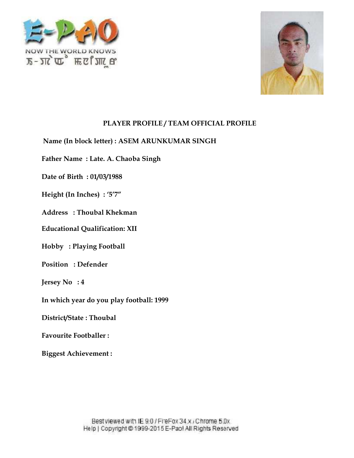



**Name (In block letter) : ASEM ARUNKUMAR SINGH** In block letter) : ASEM ARUNKUMAR SINGH<br>Vame : Late. A. Chaoba Singh<br>Birth : 01/03/1988<br>(In Inches) : '5'7″<br>s : Thoubal Khekman<br>onal Qualification: XII **Player 1: ASEM ARUNKUMAR**<br>
me : Late. A. Chaoba Singh<br>
irth : 01/03/1988<br>
1 Inches) : '5'7"<br>
: Thoubal Khekman<br>
al Qualification: XII<br>
Playing Football<br>
: Defender

**Father Name : Late. A. Chaoba Singh**

**Date of Birth : 01/03/1988**

**Height (In Inches) : '5'7"**

**Address : Thoubal Khekman**

**Educational Qualification: XII**

**Hobby : Playing Football**

**Position : Defender**

**Jersey No : 4**

**In which year do you play football: 1999**

**District/State : Thoubal**

**Favourite Footballer :**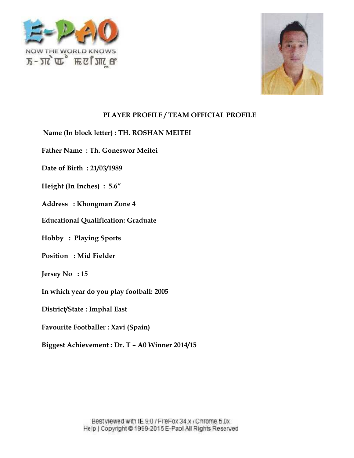



#### **Name (In block letter) : TH. ROSHAN MEITEI**

**Father Name : Th. Goneswor Meitei** In block letter) : TH. ROSHAN<br>Vame : Th. Goneswor Meitei<br>Birth : 21/03/1989<br>(In Inches) : 5.6"<br>s : Khongman Zone 4<br>onal Qualification: Graduate **block letter) : TH.<br>me : Th. Goneswo<br>rth : 21/03/1989<br>l Inches) : 5.6"<br><b>Example 7.55**<br>al Qualification: G<br>Playing Sports<br>: Mid Fielder

**Date of Birth : 21/03/1989**

**Height (In Inches) : 5.6"**

**Address : Khongman Zone 4**

**Educational Qualification: Graduate**

**Hobby : Playing Sports Sports**

**Position : Mid Fielder**

**Jersey No : 15**

**In which year do you play football: 2005**

**District/State : Imphal East**

**Favourite Footballer : Xavi (Spain)**

**Biggest Achievement : Dr. T – A0 Winner 2014/15**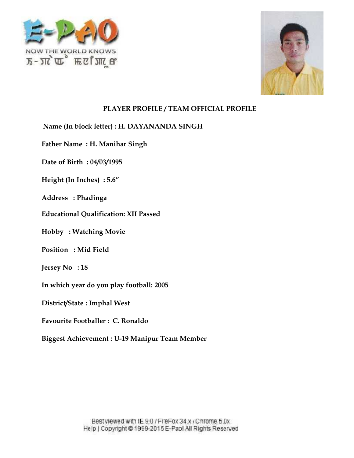



 $\boldsymbol{\mathrm{Name}}$  (In block letter) :  $\boldsymbol{\mathrm{H.~DAYANANDA~SINGH}}$ In block letter) : H. DAYANANDA<br>Vame : H. Manihar Singh<br>Birth : 04/03/1995<br>(In Inches) : 5.6"<br>s : Phadinga<br>onal Qualification: XII Passed

**Father Name : H. Manihar Singh**

**Date of Birth : 04/03/1995**

**Height (In Inches) : 5.6"**

**Address : Phadinga**

**Educational Qualification: XII Passed**

 $\textbf{Hobby}: \textbf{Watching}~\textbf{Movie} \ \textbf{Position}: \textbf{Mid Field}$ 

**Position : Mid Field**

**Jersey No : 18**

**In which year do you play football: 2005**

**District/State : Imphal West**

**Favourite Footballer : C. Ronaldo**

**Biggest Achievement : U-19 Manipur Team Member**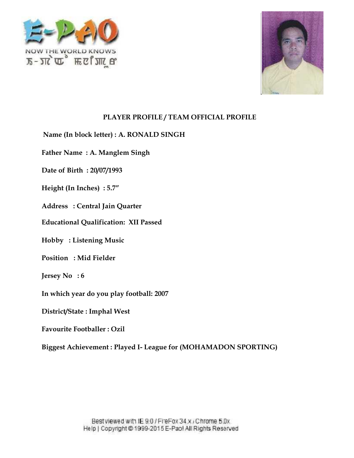



**Name (In block letter) : A. RONALD SINGH A.** 

**Father Name : A. Manglem Singh**

**Date of Birth : 20/07/1993**

**Height (In Inches) : 5.7"**

**Address : Central Jain Quarter**

**Educational Qualification: XII Passed** Vame : A. Manglem Singh<br>Birth : 20/07/1993<br>(In Inches) : 5.7″<br>s : Central Jain Quarter<br>onal Qualification: XII Pas

**Hobby : Listening Music**

**Position : Mid Fielder Listening : Fielder**

**Jersey No : 6**

**In which year do you play football: 2007**

**District/State : Imphal West**

**Favourite Footballer : Ozil**

**Biggest Achievement : Played I- League for (MOHAMADON SPORTING)**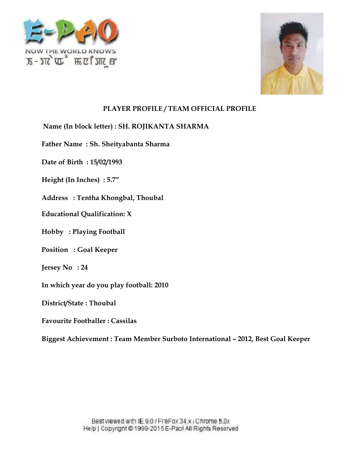



#### **Name (In block letter) : SH. ROJIKANTA SHARMA**

**Father Name : Sh. Sheityabanta Sharma** In block letter) : SH. RO<br>Vame : Sh. Sheityaban<br>Birth : 15/02/1993<br>(In Inches) : 5.7″<br>s : Tentha Khongbal, Tonal Qualification: X

**Date of Birth : 15/02/1993**

**Height (In Inches) : 5.7"**

**Address : Tentha Khongbal, Thoubal**

**Educational Qualification: X**

**Hobby : Playing Football**

Hobby : Playing Football<br>Position : Goal Keeper

**Jersey No : 24**

**In which year do you play football: 2010**

**District/State : Thoubal**

**Favourite Footballer : Cassilas**

**Biggest Achievement : Team Member Surboto International – 2012, Best Goal Keeper International– 2012, Goal Keeper–**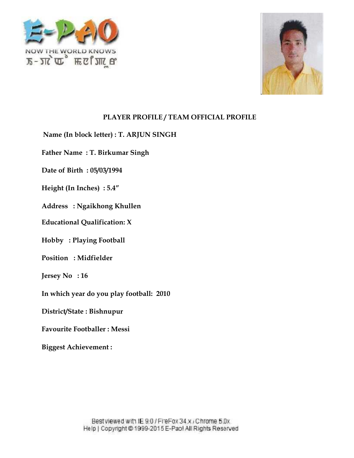



**Name (In block letter) : T. ARJUN SINGH<br>Father Name : T. Birkumar Singh<br>Date of Birth : 05/03/1994<br>Height (In Inches) : 5.4″** 

**Father Name : T. Birkumar Singh block letter) : T. ARJUN<br>me : T. Birkumar Singh<br>irth : 05/03/1994<br>1 Inches) : 5.4"<br>: Ngaikhong Khullen<br>al Qualification: X<br>Playing Football<br>: Midfielder** 

**Date of Birth : 05/03/1994**

**Height (In Inches) : 5.4"**

**Address : Ngaikhong Khullen**

**Educational Qualification: X Qualification:**

**Hobby : Playing Football**

**Position : Midfielder**

**Jersey No : 16**

**In which year do you play football: 2010**

**District/State : Bishnupur**

**Favourite Footballer : Messi**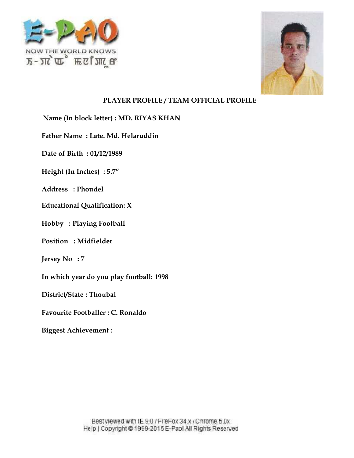



**Name (In block letter) : MD. RIYAS KHAN** In block letter) : MD. RIYAS KHAN<br>Vame : Late. Md. Helaruddin<br>Birth : 01/12/1989<br>(In Inches) : 5.7″

**Father Name : Late. Md. Helaruddin Place Algent State: MD.<br>
me : Late. Md. Hela<br>
irth : 01/12/1989<br>
1 Inches) : 5.7"<br>
: Phoudel<br>
al Qualification: X<br>
Playing Football<br>
: Midfielder** 

**Date of Birth : 01/12/1989**

**Height (In Inches) : 5.7"**

**Address : Phoudel**

**Educational Qualification: X Qualification:**

**Hobby : Playing Football**

**Position : Midfielder**

**Jersey No : 7**

**In which year do you play football: 1998**

**District/State : Thoubal**

**Favourite Footballer : C. Ronaldo**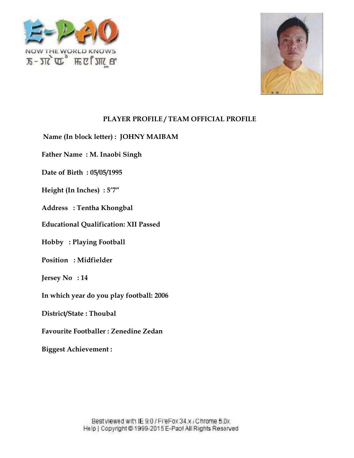



**Name (In block letter) : JOHNY MAIBAM JOHNY MAIBAM**

**Father Name : M. Inaobi Singh**

**Date of Birth : 05/05/1995**

**Height (In Inches) : 5'7"**

**Address : Tentha Khongbal**

**Educational Qualification: XII Passed** Vame : M. Inaobi Singh<br>Birth : 05/05/1995<br>(In Inches) : 5′7″<br>s : Tentha Khongbal<br>onal Qualification: XII F

**Hobby : Playing Football**

**Position : Midfielder**

**Jersey No : 14**

**In which year do you play football: 2006 Playing Football<br>: Midfielder<br>: 14<br>year do you play football: 20<br>tate : Thoubal<br>Footballer : Zenedine Zedan** 

**District/State : Thoubal**

**Favourite Footballer : Zenedine Zedan**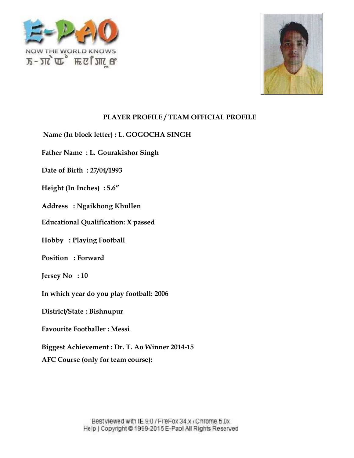



**Name (In block letter) : L. GOGOCHA SINGH<br>Father Name : L. Gourakishor Singh** 

**Father Name : L. Gourakishor Singh**

**Date of Birth : 27/04/1993**

**Height (In Inches) : 5.6" (In Inches)**

**Address : Ngaikhong Khullen**

**Educational Qualification: X passed Qualification:**

**Hobby : Playing Football**

**Position : Forward**

**Jersey No : 10**

**In which year do you play football: 2006 Playing Football<br>: Forward<br>: 10<br>year do you play<br>tate : Bishnupur<br>Footballer : Mess<br>chievement : Dr.** 

**District/State : Bishnupur**

**Favourite Footballer : Messi**

**Biggest Achievement : Dr. T. Ao Winner 2014-15**

**AFC Course (only for team course): team course):**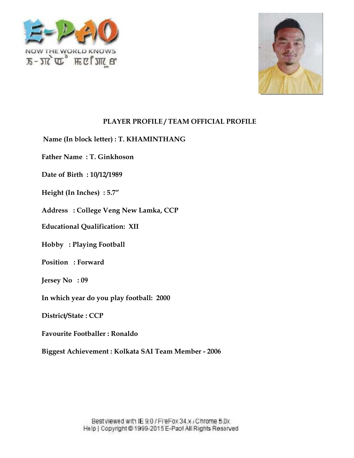



**Name (In block letter) : T. KHAMINTHANG**

**Father Name : T. Ginkhoson**

**Date of Birth : 10/12/1989**

**Height (In Inches) : 5.7"**

**Address : College Veng New Lamka, CCP** In block letter) : T. KHAMINTHANG<br>Vame : T. Ginkhoson<br>Birth : 10/12/1989<br>(In Inches) : 5.7″<br>s : College Veng New Lamka, CCP<br>onal Qualification: XII

**Educational Qualification: XII**

**Hobby : Playing Football**

**Position : Forward**

**Jersey No : 09**

**In which year do you play football: 2000**

**District/State : CCP**

**Favourite Footballer : Ronaldo**

**Biggest Achievement : Kolkata SAI Team Member - 2006** Playing Football<br>: Forward<br>: 09<br>year do you play football: 2000<br>tate : CCP<br>Footballer : Ronaldo<br>chievement : Kolkata SAI Team Member - 2006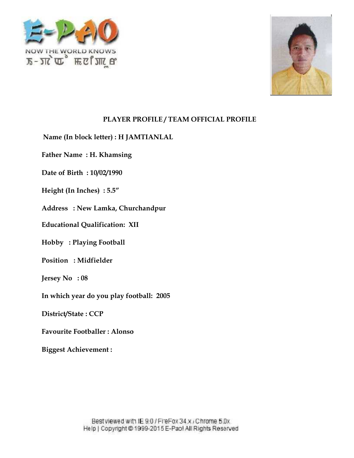



**Name (In block letter) : H JAMTIANLAL**

**Father Name : H. Khamsing** | block letter) : H<br>| me : H. Khamsir<br>|irth : 10/02/1990<br>| n Inches) : 5.5"<br>| Playing Football<br>| Playing Football<br>| Midfielder

**Date of Birth : 10/02/1990**

**Height (In Inches) : 5.5"**

**Address : New Lamka, Churchandpur** In block letter) : H JAMTIANLAL<br>Vame : H. Khamsing<br>Birth : 10/02/1990<br>(In Inches) : 5.5"<br>s : New Lamka, Churchandpur<br>onal Qualification: XII

**Educational Qualification: XII**

**Hobby : Playing Football**

**Position : Midfielder**

**Jersey No : 08**

**In which year do you play football: 2005**

**District/State : CCP**

**Favourite Footballer : Alonso**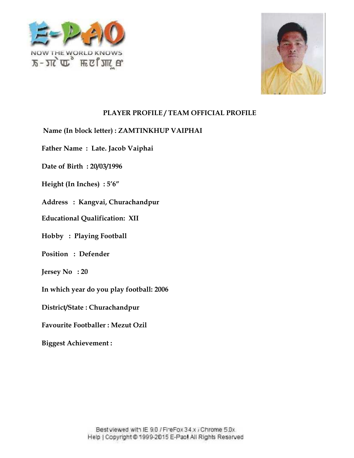



- **Name (In block letter) : ZAMTINKHUP VAIPHAI ZAMTINKHUP VAIPHAIZAMTINKHUP**
- **Father Name : Late. Jacob Vaiphai**
- **Date of Birth : 20/03/1996**
- $\textbf{Height (In Inches)}:5'6''$
- **Address : Kangvai, Churachandpur**
- **Educational Qualification: XII Qualification:**
- **Hobby : Playing Football**
- **Position : Defender**
- **Jersey No : 20**
- **In which year do you play football: 2006** : Defender<br>: 20<br>vear do you play football: 200<br>ate : Churachandpur<br>Footballer : Mezut Ozil
- **District/State : Churachandpur**
- **Favourite Footballer : Mezut Ozil**
- **Biggest Achievement :**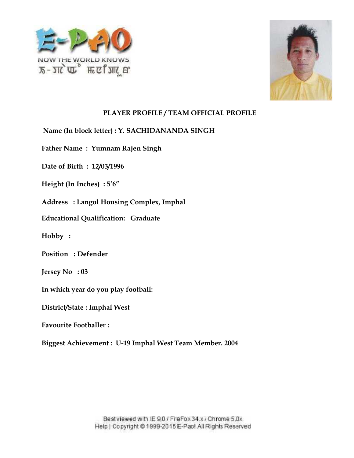



- **Name (In block letter) : Y. SACHIDANANDA SINGH<br>Father Name : Yumnam Rajen Singh<br>Date of Birth : 12/03/1996<br>Height (In Inches) : 5′6″**
- **Father Name : Yumnam Rajen Singh**
- **Date of Birth : 12/03/1996**
- **Height (In Inches) : 5'6"**
- Address : Langol Housing Complex, Imphal<br>Educational Qualification: Graduate
- **Educational Qualification: Graduate**
- **Hobby :**
- **Position : Defender**
- **Jersey No : 03**
- **In which year do you play football:**
- **District/State : Imphal West**
- **Favourite Footballer :**
- **Biggest Achievement : U-19 Imphal West Team Member. 2004** block letter) : Y. SACHIDANANDA SINGH<br>me : Yumnam Rajen Singh<br>rth : 12/03/1996<br>Inches) : 5'6"<br>: Langol Housing Complex, Imphal<br>al Qualification: Graduate<br>: Defender<br>: 03<br>vear do you play football:<br>ate : Imphal West<br>Footbal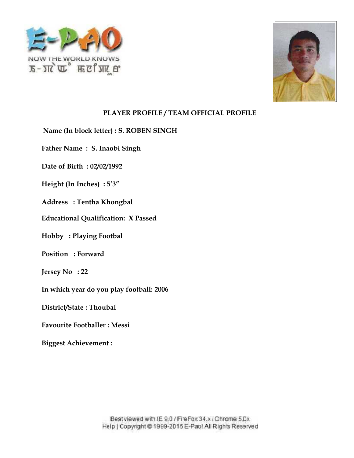



**Name (In block letter) : S. ROBEN SINGH**

**Father Name : S. Inaobi Singh** In block letter) : S. ROBE<br>Vame : S. Inaobi Singh<br>Birth : 02/02/1992<br>(In Inches) : 5'3"

**Date of Birth : 02/02/1992**

**Height (In Inches) : 5'3"**

**Address : Tentha Khongbal**

**Educational Qualification: X Passed Qualification:**

**Hobby : Playing Footbal<br>Position : Forward** 

**Position : Forward**

**Jersey No : 22**

**In which year do you play football: 2006**

**District/State : Thoubal**

**Favourite Footballer : Messi**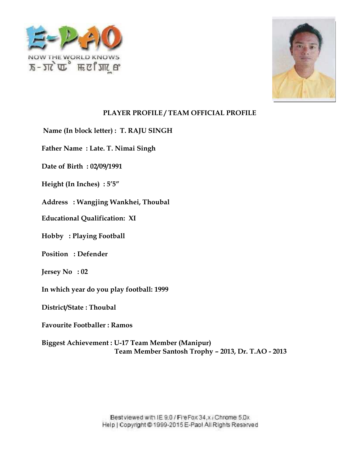



**Name (In block letter) : T. RAJU SINGH<br>Father Name : Late. T. Nimai Singh<br>Date of Birth : 02/09/1991<br>Height (In Inches) : 5'5″ Father Name : Late. T. Nimai Singh**

**Date of Birth : 02/09/1991**

**Height (In Inches) : 5'5"**

Address : Wangjing Wankhei, Thoubal<br>Educational Qualification: XI

**Educational Qualification: XI**

**Hobby : Playing Football**

**Position : Defender**

**Jersey No : 02**

**In which year do you play football: 1999**

**District/State : Thoubal**

**Favourite Footballer : Ramos**

**Biggest Achievement : U-17 Team Member (Manipur) Team Member Santosh Trophy – 2013, Dr. T.AO - 2013** Playing Football<br>
: Defender<br>
: 02<br>
year do you play football: 1999<br>
tate : Thoubal<br>
Footballer : Ramos<br>
chievement : U-17 Team Member (Manipur)<br>
Team Member Santosh Trophy - 2013. Dr. T.AO - 2013

> Best viewed with IE 9.0 / Fire Fox 34.x / Chrome 5.Dx Help | Copyright @ 1999-2015 E-Pao! All Rights Reserved